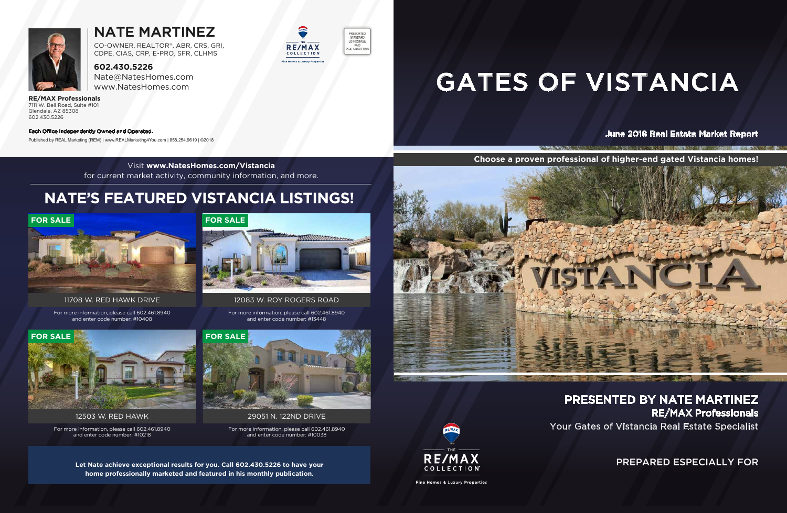PREPARED ESPECIALLY FOR

 $\frac{1}{2}$ 

Your Gates of Vistancia Real Estate Specialist PRESENTED BY NATE MARTINEZ RE/MAX Professionals

**TANK AND RESIDENCE** 

#### June 2018 Real Estate Market Report

# GATES OF VISTANCIA

#### Each Office Independently Owned and Operated.



### NATE MARTINEZ

**602.430.5226** Nate@NatesHomes.com www.NatesHomes.com

**RE/MAX Professionals** 7111 W. Bell Road, Suite #101 Glendale, AZ 85308 602.430.5226

CO-OWNER, REALTOR®, ABR, CRS, GRI, CDPE, CIAS, CRP, E-PRO, SFR, CLHMS

**Choose a proven professional of higher-end gated Vistancia homes!**

THE POINT NO. REPORT OF NORMALISTIC WAY, IN THE RESIDENCE OF A REPORT OF SALE OF SALE OF SALE OF SALE OF SALE OF SALE OF SALE OF SALE OF SALE OF SALE OF SALE OF SALE OF SALE OF SALE OF SALE OF SALE OF SALE OF SALE OF SALE

Published by REAL Marketing (REM) | www.REALMarketing4You.com | 858.254.9619 | ©2018





Visit **www.NatesHomes.com/Vistancia** for current market activity, community information, and more.

**Let Nate achieve exceptional results for you. Call 602.430.5226 to have your home professionally marketed and featured in his monthly publication.**







Fine Homes & Luxury Properties

### **NATE'S FEATURED VISTANCIA LISTINGS!**

For more information, please call 602.461.8940 and enter code number: #13448

#### 12083 W. ROY ROGERS ROAD



For more information, please call 602.461.8940 and enter code number: #10408

#### 11708 W. RED HAWK DRIVE



For more information, please call 602.461.8940 and enter code number: #10218

12503 W. RED HAWK



For more information, please call 602.461.8940 and enter code number: #10038

29051 N. 122ND DRIVE